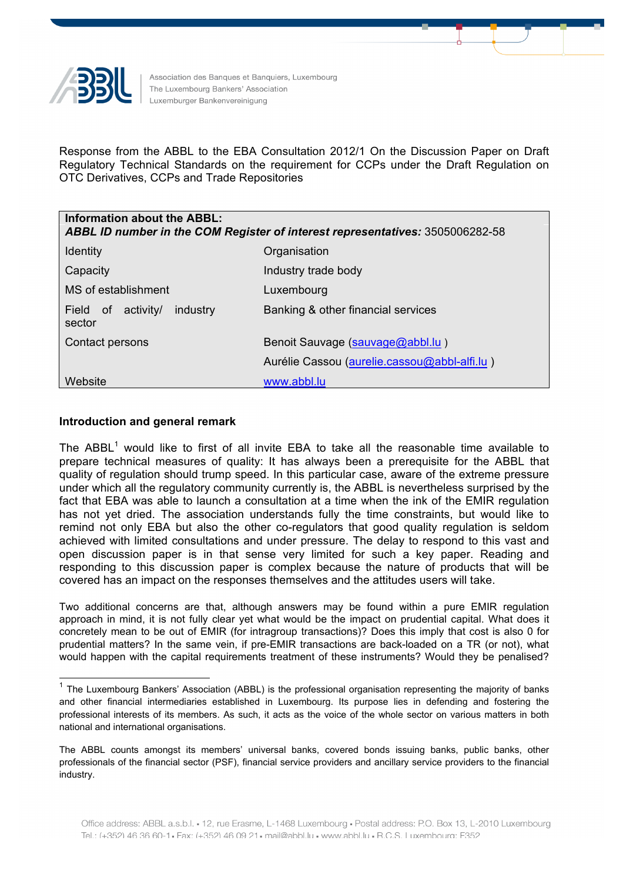

Association des Banques et Banquiers, Luxembourg The Luxembourg Bankers' Association Luxemburger Bankenvereinigung

Response from the ABBL to the EBA Consultation 2012/1 On the Discussion Paper on Draft Regulatory Technical Standards on the requirement for CCPs under the Draft Regulation on OTC Derivatives, CCPs and Trade Repositories

| Information about the ABBL:<br>ABBL ID number in the COM Register of interest representatives: 3505006282-58 |                                              |
|--------------------------------------------------------------------------------------------------------------|----------------------------------------------|
| <b>Identity</b>                                                                                              | Organisation                                 |
| Capacity                                                                                                     | Industry trade body                          |
| MS of establishment                                                                                          | Luxembourg                                   |
| industry<br>Field<br>activity/<br>of .<br>sector                                                             | Banking & other financial services           |
| Contact persons                                                                                              | Benoit Sauvage (sauvage@abbl.lu)             |
|                                                                                                              | Aurélie Cassou (aurelie.cassou@abbl-alfi.lu) |
| Website                                                                                                      | www.abbl.lu                                  |

# **Introduction and general remark**

The  $ABBL<sup>1</sup>$  would like to first of all invite EBA to take all the reasonable time available to prepare technical measures of quality: It has always been a prerequisite for the ABBL that quality of regulation should trump speed. In this particular case, aware of the extreme pressure under which all the regulatory community currently is, the ABBL is nevertheless surprised by the fact that EBA was able to launch a consultation at a time when the ink of the EMIR regulation has not yet dried. The association understands fully the time constraints, but would like to remind not only EBA but also the other co-regulators that good quality regulation is seldom achieved with limited consultations and under pressure. The delay to respond to this vast and open discussion paper is in that sense very limited for such a key paper. Reading and responding to this discussion paper is complex because the nature of products that will be covered has an impact on the responses themselves and the attitudes users will take.

Two additional concerns are that, although answers may be found within a pure EMIR regulation approach in mind, it is not fully clear yet what would be the impact on prudential capital. What does it concretely mean to be out of EMIR (for intragroup transactions)? Does this imply that cost is also 0 for prudential matters? In the same vein, if pre-EMIR transactions are back-loaded on a TR (or not), what would happen with the capital requirements treatment of these instruments? Would they be penalised?

 $1$  The Luxembourg Bankers' Association (ABBL) is the professional organisation representing the majority of banks and other financial intermediaries established in Luxembourg. Its purpose lies in defending and fostering the professional interests of its members. As such, it acts as the voice of the whole sector on various matters in both national and international organisations.

The ABBL counts amongst its members' universal banks, covered bonds issuing banks, public banks, other professionals of the financial sector (PSF), financial service providers and ancillary service providers to the financial industry.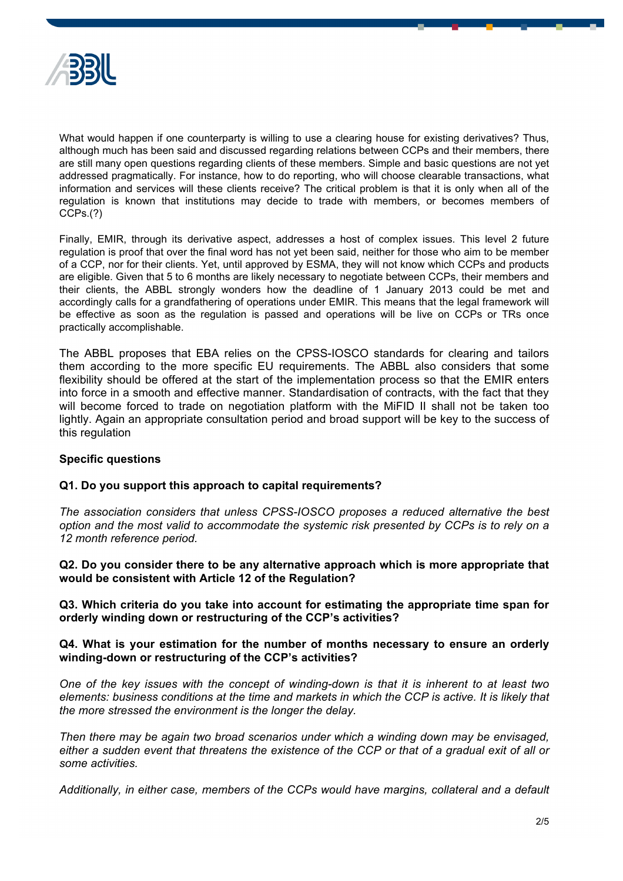

What would happen if one counterparty is willing to use a clearing house for existing derivatives? Thus, although much has been said and discussed regarding relations between CCPs and their members, there are still many open questions regarding clients of these members. Simple and basic questions are not yet addressed pragmatically. For instance, how to do reporting, who will choose clearable transactions, what information and services will these clients receive? The critical problem is that it is only when all of the regulation is known that institutions may decide to trade with members, or becomes members of CCPs.(?)

Finally, EMIR, through its derivative aspect, addresses a host of complex issues. This level 2 future regulation is proof that over the final word has not yet been said, neither for those who aim to be member of a CCP, nor for their clients. Yet, until approved by ESMA, they will not know which CCPs and products are eligible. Given that 5 to 6 months are likely necessary to negotiate between CCPs, their members and their clients, the ABBL strongly wonders how the deadline of 1 January 2013 could be met and accordingly calls for a grandfathering of operations under EMIR. This means that the legal framework will be effective as soon as the regulation is passed and operations will be live on CCPs or TRs once practically accomplishable.

The ABBL proposes that EBA relies on the CPSS-IOSCO standards for clearing and tailors them according to the more specific EU requirements. The ABBL also considers that some flexibility should be offered at the start of the implementation process so that the EMIR enters into force in a smooth and effective manner. Standardisation of contracts, with the fact that they will become forced to trade on negotiation platform with the MiFID II shall not be taken too lightly. Again an appropriate consultation period and broad support will be key to the success of this regulation

### **Specific questions**

### **Q1. Do you support this approach to capital requirements?**

*The association considers that unless CPSS-IOSCO proposes a reduced alternative the best option and the most valid to accommodate the systemic risk presented by CCPs is to rely on a 12 month reference period.*

**Q2. Do you consider there to be any alternative approach which is more appropriate that would be consistent with Article 12 of the Regulation?**

**Q3. Which criteria do you take into account for estimating the appropriate time span for orderly winding down or restructuring of the CCP's activities?**

### **Q4. What is your estimation for the number of months necessary to ensure an orderly winding-down or restructuring of the CCP's activities?**

*One of the key issues with the concept of winding-down is that it is inherent to at least two elements: business conditions at the time and markets in which the CCP is active. It is likely that the more stressed the environment is the longer the delay.*

*Then there may be again two broad scenarios under which a winding down may be envisaged, either a sudden event that threatens the existence of the CCP or that of a gradual exit of all or some activities.* 

*Additionally, in either case, members of the CCPs would have margins, collateral and a default*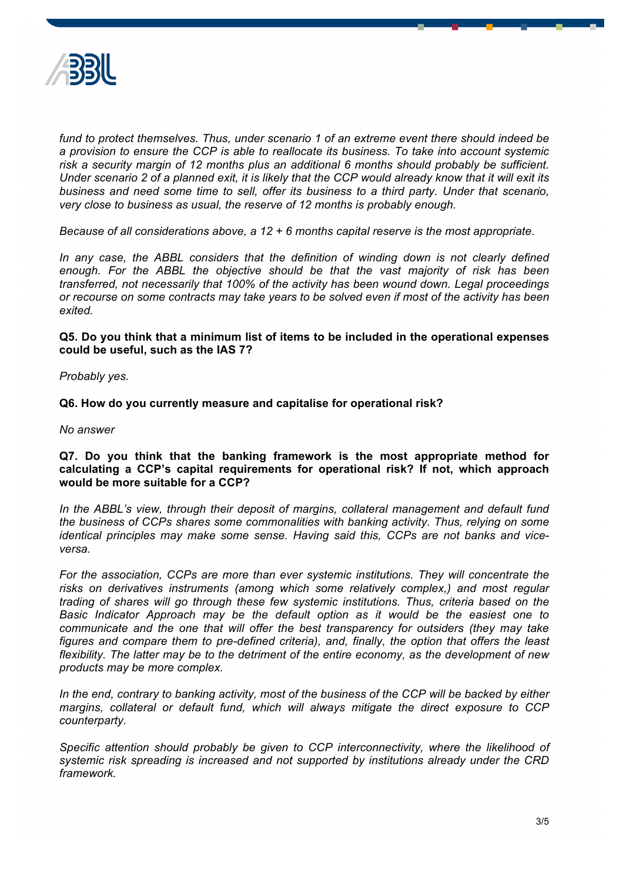

fund to protect themselves. Thus, under scenario 1 of an extreme event there should indeed be *a provision to ensure the CCP is able to reallocate its business. To take into account systemic risk a security margin of 12 months plus an additional 6 months should probably be sufficient. Under scenario 2 of a planned exit, it is likely that the CCP would already know that it will exit its business and need some time to sell, offer its business to a third party. Under that scenario, very close to business as usual, the reserve of 12 months is probably enough.*

*Because of all considerations above, a 12 + 6 months capital reserve is the most appropriate.*

In any case, the ABBL considers that the definition of winding down is not clearly defined *enough. For the ABBL the objective should be that the vast majority of risk has been transferred, not necessarily that 100% of the activity has been wound down. Legal proceedings or recourse on some contracts may take years to be solved even if most of the activity has been exited.*

**Q5. Do you think that a minimum list of items to be included in the operational expenses could be useful, such as the IAS 7?**

*Probably yes.*

**Q6. How do you currently measure and capitalise for operational risk?**

*No answer*

## **Q7. Do you think that the banking framework is the most appropriate method for calculating a CCP's capital requirements for operational risk? If not, which approach would be more suitable for a CCP?**

*In the ABBL's view, through their deposit of margins, collateral management and default fund the business of CCPs shares some commonalities with banking activity. Thus, relying on some identical principles may make some sense. Having said this, CCPs are not banks and viceversa.* 

*For the association, CCPs are more than ever systemic institutions. They will concentrate the risks on derivatives instruments (among which some relatively complex,) and most regular trading of shares will go through these few systemic institutions. Thus, criteria based on the Basic Indicator Approach may be the default option as it would be the easiest one to communicate and the one that will offer the best transparency for outsiders (they may take figures and compare them to pre-defined criteria), and, finally, the option that offers the least flexibility. The latter may be to the detriment of the entire economy, as the development of new products may be more complex.*

*In the end, contrary to banking activity, most of the business of the CCP will be backed by either margins, collateral or default fund, which will always mitigate the direct exposure to CCP counterparty.*

*Specific attention should probably be given to CCP interconnectivity, where the likelihood of systemic risk spreading is increased and not supported by institutions already under the CRD framework.*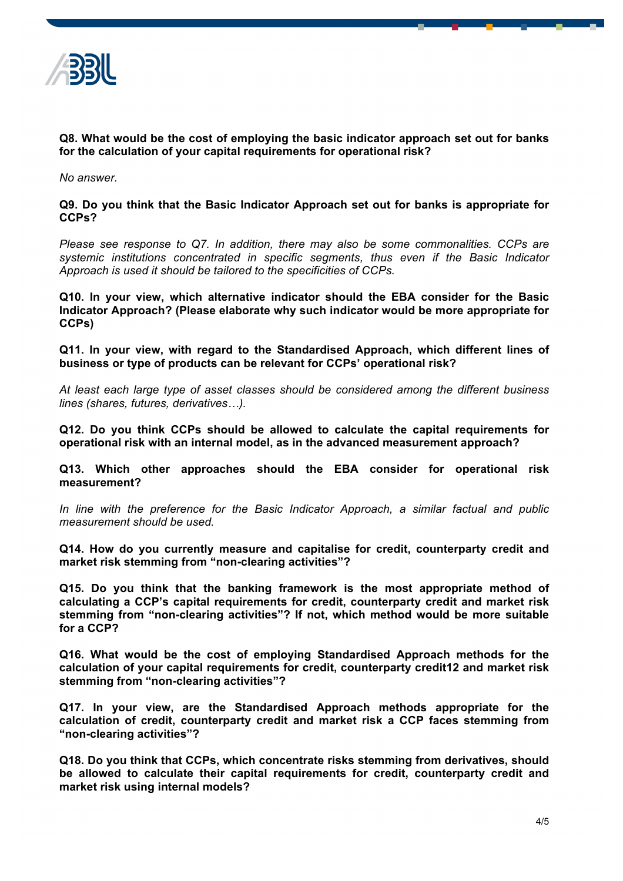

**Q8. What would be the cost of employing the basic indicator approach set out for banks for the calculation of your capital requirements for operational risk?**

*No answer.*

**Q9. Do you think that the Basic Indicator Approach set out for banks is appropriate for CCPs?**

*Please see response to Q7. In addition, there may also be some commonalities. CCPs are systemic institutions concentrated in specific segments, thus even if the Basic Indicator Approach is used it should be tailored to the specificities of CCPs.*

**Q10. In your view, which alternative indicator should the EBA consider for the Basic Indicator Approach? (Please elaborate why such indicator would be more appropriate for CCPs)**

**Q11. In your view, with regard to the Standardised Approach, which different lines of business or type of products can be relevant for CCPs' operational risk?**

*At least each large type of asset classes should be considered among the different business lines (shares, futures, derivatives…).*

**Q12. Do you think CCPs should be allowed to calculate the capital requirements for operational risk with an internal model, as in the advanced measurement approach?**

**Q13. Which other approaches should the EBA consider for operational risk measurement?**

*In line with the preference for the Basic Indicator Approach, a similar factual and public measurement should be used.*

**Q14. How do you currently measure and capitalise for credit, counterparty credit and market risk stemming from "non-clearing activities"?**

**Q15. Do you think that the banking framework is the most appropriate method of calculating a CCP's capital requirements for credit, counterparty credit and market risk stemming from "non-clearing activities"? If not, which method would be more suitable for a CCP?**

**Q16. What would be the cost of employing Standardised Approach methods for the calculation of your capital requirements for credit, counterparty credit12 and market risk stemming from "non-clearing activities"?**

**Q17. In your view, are the Standardised Approach methods appropriate for the calculation of credit, counterparty credit and market risk a CCP faces stemming from "non-clearing activities"?**

**Q18. Do you think that CCPs, which concentrate risks stemming from derivatives, should be allowed to calculate their capital requirements for credit, counterparty credit and market risk using internal models?**